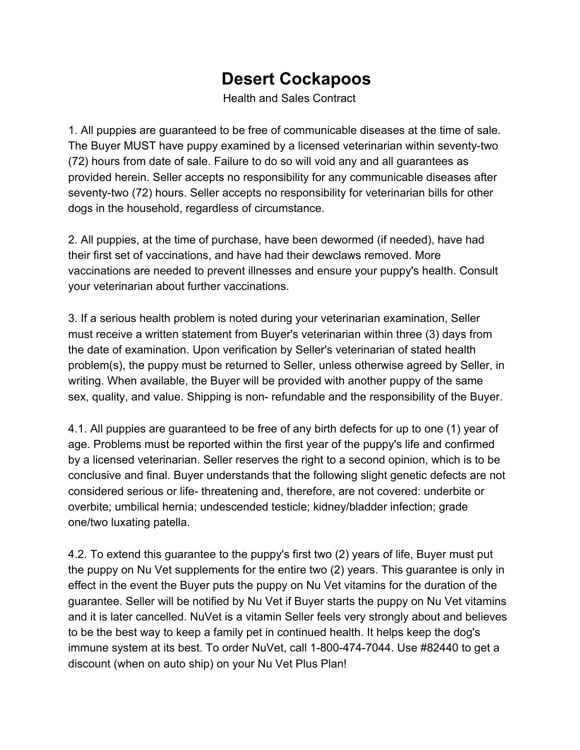## **Desert Cockapoos**

Health and Sales Contract

1. All puppies are guaranteed to be free of communicable diseases at the time of sale. The Buyer MUST have puppy examined by a licensed veterinarian within seventy-two (72) hours from date of sale. Failure to do so will void any and all guarantees as provided herein. Seller accepts no responsibility for any communicable diseases after seventy-two (72) hours. Seller accepts no responsibility for veterinarian bills for other dogs in the household, regardless of circumstance.

2. All puppies, at the time of purchase, have been dewormed (if needed), have had their first set of vaccinations, and have had their dewclaws removed. More vaccinations are needed to prevent illnesses and ensure your puppy's health. Consult your veterinarian about further vaccinations.

3. If a serious health problem is noted during your veterinarian examination, Seller must receive a written statement from Buyer's veterinarian within three (3) days from the date of examination. Upon verification by Seller's veterinarian of stated health problem(s), the puppy must be returned to Seller, unless otherwise agreed by Seller, in writing. When available, the Buyer will be provided with another puppy of the same sex, quality, and value. Shipping is non- refundable and the responsibility of the Buyer.

4.1. All puppies are guaranteed to be free of any birth defects for up to one (1) year of age. Problems must be reported within the first year of the puppy's life and confirmed by a licensed veterinarian. Seller reserves the right to a second opinion, which is to be conclusive and final. Buyer understands that the following slight genetic defects are not considered serious or life- threatening and, therefore, are not covered: underbite or overbite; umbilical hernia; undescended testicle; kidney/bladder infection; grade one/two luxating patella.

4.2. To extend this guarantee to the puppy's first two (2) years of life, Buyer must put the puppy on Nu Vet supplements for the entire two (2) years. This guarantee is only in effect in the event the Buyer puts the puppy on Nu Vet vitamins for the duration of the guarantee. Seller will be notified by Nu Vet if Buyer starts the puppy on Nu Vet vitamins and it is later cancelled. NuVet is a vitamin Seller feels very strongly about and believes to be the best way to keep a family pet in continued health. It helps keep the dog's immune system at its best. To order NuVet, call 1-800-474-7044. Use #82440 to get a discount (when on auto ship) on your Nu Vet Plus Plan!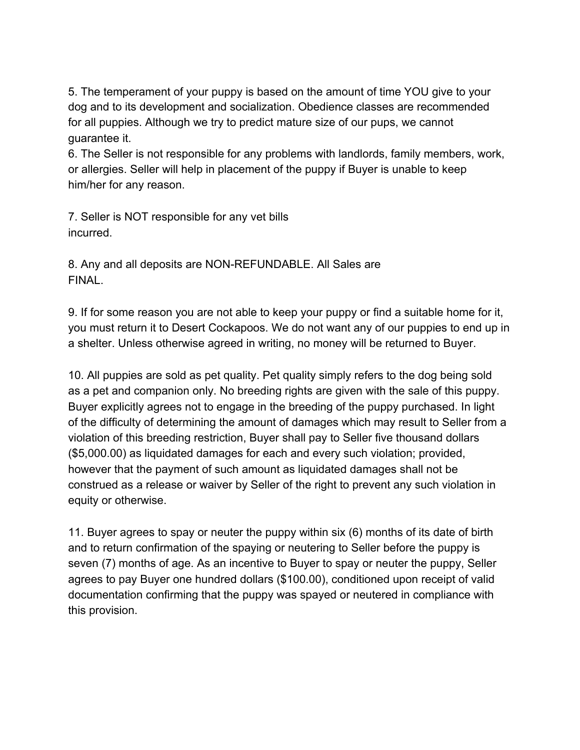5. The temperament of your puppy is based on the amount of time YOU give to your dog and to its development and socialization. Obedience classes are recommended for all puppies. Although we try to predict mature size of our pups, we cannot guarantee it.

6. The Seller is not responsible for any problems with landlords, family members, work, or allergies. Seller will help in placement of the puppy if Buyer is unable to keep him/her for any reason.

7. Seller is NOT responsible for any vet bills incurred.

8. Any and all deposits are NON-REFUNDABLE. All Sales are FINAL.

9. If for some reason you are not able to keep your puppy or find a suitable home for it, you must return it to Desert Cockapoos. We do not want any of our puppies to end up in a shelter. Unless otherwise agreed in writing, no money will be returned to Buyer.

10. All puppies are sold as pet quality. Pet quality simply refers to the dog being sold as a pet and companion only. No breeding rights are given with the sale of this puppy. Buyer explicitly agrees not to engage in the breeding of the puppy purchased. In light of the difficulty of determining the amount of damages which may result to Seller from a violation of this breeding restriction, Buyer shall pay to Seller five thousand dollars (\$5,000.00) as liquidated damages for each and every such violation; provided, however that the payment of such amount as liquidated damages shall not be construed as a release or waiver by Seller of the right to prevent any such violation in equity or otherwise.

11. Buyer agrees to spay or neuter the puppy within six (6) months of its date of birth and to return confirmation of the spaying or neutering to Seller before the puppy is seven (7) months of age. As an incentive to Buyer to spay or neuter the puppy, Seller agrees to pay Buyer one hundred dollars (\$100.00), conditioned upon receipt of valid documentation confirming that the puppy was spayed or neutered in compliance with this provision.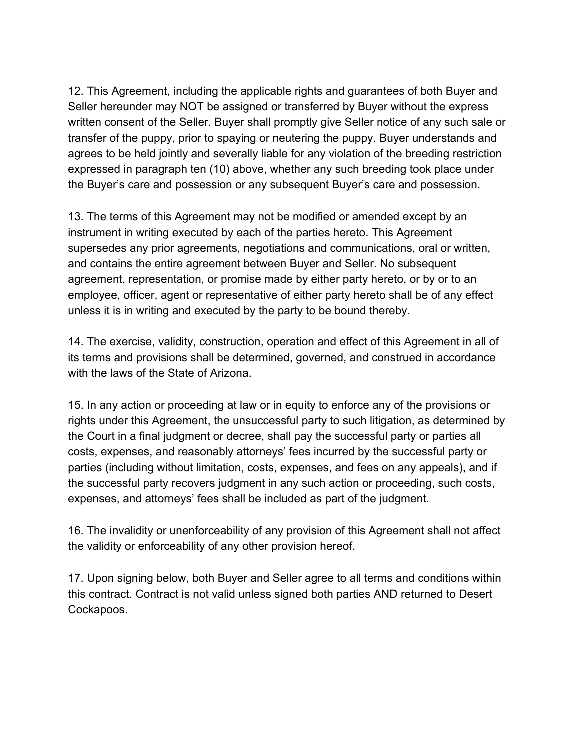12. This Agreement, including the applicable rights and guarantees of both Buyer and Seller hereunder may NOT be assigned or transferred by Buyer without the express written consent of the Seller. Buyer shall promptly give Seller notice of any such sale or transfer of the puppy, prior to spaying or neutering the puppy. Buyer understands and agrees to be held jointly and severally liable for any violation of the breeding restriction expressed in paragraph ten (10) above, whether any such breeding took place under the Buyer's care and possession or any subsequent Buyer's care and possession.

13. The terms of this Agreement may not be modified or amended except by an instrument in writing executed by each of the parties hereto. This Agreement supersedes any prior agreements, negotiations and communications, oral or written, and contains the entire agreement between Buyer and Seller. No subsequent agreement, representation, or promise made by either party hereto, or by or to an employee, officer, agent or representative of either party hereto shall be of any effect unless it is in writing and executed by the party to be bound thereby.

14. The exercise, validity, construction, operation and effect of this Agreement in all of its terms and provisions shall be determined, governed, and construed in accordance with the laws of the State of Arizona.

15. In any action or proceeding at law or in equity to enforce any of the provisions or rights under this Agreement, the unsuccessful party to such litigation, as determined by the Court in a final judgment or decree, shall pay the successful party or parties all costs, expenses, and reasonably attorneys' fees incurred by the successful party or parties (including without limitation, costs, expenses, and fees on any appeals), and if the successful party recovers judgment in any such action or proceeding, such costs, expenses, and attorneys' fees shall be included as part of the judgment.

16. The invalidity or unenforceability of any provision of this Agreement shall not affect the validity or enforceability of any other provision hereof.

17. Upon signing below, both Buyer and Seller agree to all terms and conditions within this contract. Contract is not valid unless signed both parties AND returned to Desert Cockapoos.